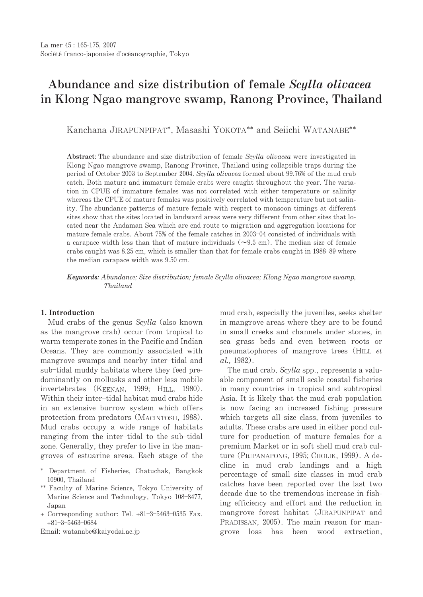# Abundance and size distribution of female Scylla olivacea in Klong Ngao mangrove swamp, Ranong Province, Thailand

Kanchana JIRAPUNPIPAT\*, Masashi YOKOTA\*\* and Seijchi WATANABE\*\*

Abstract: The abundance and size distribution of female Scylla olivacea were investigated in Klong Ngao mangrove swamp, Ranong Province, Thailand using collapsible traps during the period of October 2003 to September 2004. Scylla olivacea formed about 99.76% of the mud crab catch. Both mature and immature female crabs were caught throughout the year. The variation in CPUE of immature females was not correlated with either temperature or salinity whereas the CPUE of mature females was positively correlated with temperature but not salinity. The abundance patterns of mature female with respect to monsoon timings at different sites show that the sites located in landward areas were very different from other sites that located near the Andaman Sea which are end route to migration and aggregation locations for mature female crabs. About 75% of the female catches in 2003-04 consisted of individuals with a carapace width less than that of mature individuals  $(\sim 9.5 \text{ cm})$ . The median size of female crabs caught was 8.25 cm, which is smaller than that for female crabs caught in 1988-89 where the median carapace width was 9.50 cm.

Keywords: Abundance; Size distribution; female Scylla olivacea; Klong Ngao mangrove swamp, **Thailand** 

### 1. Introduction

Mud crabs of the genus Scylla (also known as the mangrove crab) occur from tropical to warm temperate zones in the Pacific and Indian Oceans. They are commonly associated with mangrove swamps and nearby inter-tidal and sub-tidal muddy habitats where they feed predominantly on mollusks and other less mobile invertebrates (KEENAN, 1999; HILL, 1980). Within their inter-tidal habitat mud crabs hide in an extensive burrow system which offers protection from predators (MACINTOSH, 1988). Mud crabs occupy a wide range of habitats ranging from the inter-tidal to the sub-tidal zone. Generally, they prefer to live in the mangroves of estuarine areas. Each stage of the

Email: watanabe@kaiyodai.ac.jp

mud crab, especially the juveniles, seeks shelter in mangrove areas where they are to be found in small creeks and channels under stones, in sea grass beds and even between roots or pneumatophores of mangrove trees (HILL et  $al., 1982).$ 

The mud crab, Scylla spp., represents a valuable component of small scale coastal fisheries in many countries in tropical and subtropical Asia. It is likely that the mud crab population is now facing an increased fishing pressure which targets all size class, from juveniles to adults. These crabs are used in either pond culture for production of mature females for a premium Market or in soft shell mud crab culture (Pripanapong, 1995; Cholik, 1999). A decline in mud crab landings and a high percentage of small size classes in mud crab catches have been reported over the last two decade due to the tremendous increase in fishing efficiency and effort and the reduction in mangrove forest habitat (JIRAPUNPIPAT and PRADISSAN, 2005). The main reason for mangrove loss has been wood extraction.

<sup>\*</sup> Department of Fisheries, Chatuchak, Bangkok 10900. Thailand

<sup>\*\*</sup> Faculty of Marine Science, Tokyo University of Marine Science and Technology, Tokyo 108-8477, Japan

<sup>+</sup> Corresponding author: Tel. +81-3-5463-0535 Fax.  $+81 - 3 - 5463 - 0684$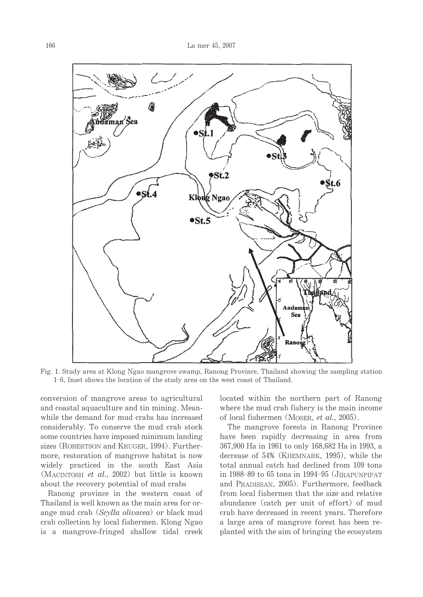

Fig. 1. Study area at Klong Ngao mangrove swamp, Ranong Province, Thailand showing the sampling station 1-6. Inset shows the location of the study area on the west coast of Thailand.

conversion of mangrove areas to agricultural and coastal aquaculture and tin mining. Meanwhile the demand for mud crabs has increased considerably. To conserve the mud crab stock some countries have imposed minimum landing sizes (ROBERTSON and KRUGER, 1994). Furthermore, restoration of mangrove habitat is now widely practiced in the south East Asia (MACINTOSH et al., 2002) but little is known about the recovery potential of mud crabs

Ranong province in the western coast of Thailand is well known as the main area for orange mud crab (Scylla olivacea) or black mud crab collection by local fishermen. Klong Ngao is a mangrove-fringed shallow tidal creek located within the northern part of Ranong where the mud crab fishery is the main income of local fishermen (MOSER, et al., 2005).

The mangrove forests in Ranong Province have been rapidly decreasing in area from 367,900 Ha in 1961 to only 168,682 Ha in 1993, a decrease of 54% (KHEMNARK, 1995), while the total annual catch had declined from 109 tons in 1988–89 to 65 tons in 1994–95 (JIRAPUNPIPAT and PRADISSAN, 2005). Furthermore, feedback from local fishermen that the size and relative abundance (catch per unit of effort) of mud crab have decreased in recent years. Therefore a large area of mangrove forest has been replanted with the aim of bringing the ecosystem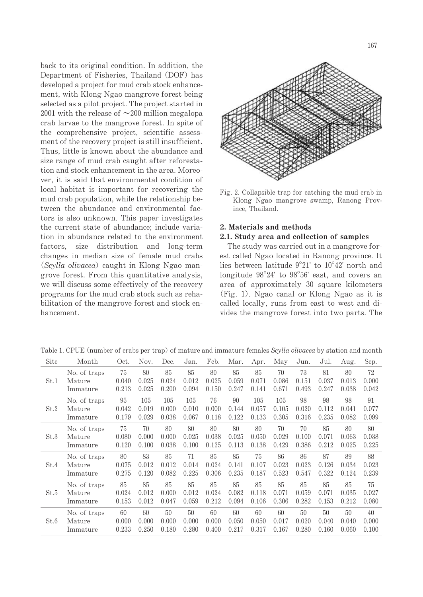back to its original condition. In addition, the Department of Fisheries, Thailand (DOF) has developed a project for mud crab stock enhancement, with Klong Ngao mangrove forest being selected as a pilot project. The project started in 2001 with the release of  $\sim$ 200 million megalopa crab larvae to the mangrove forest. In spite of the comprehensive project, scientific assessment of the recovery project is still insufficient. Thus, little is known about the abundance and size range of mud crab caught after reforestation and stock enhancement in the area. Moreover, it is said that environmental condition of local habitat is important for recovering the mud crab population, while the relationship between the abundance and environmental factors is also unknown. This paper investigates the current state of abundance: include variation in abundance related to the environment factors, size distribution and long-term changes in median size of female mud crabs (Scylla olivacea) caught in Klong Ngao mangrove forest. From this quantitative analysis, we will discuss some effectively of the recovery programs for the mud crab stock such as rehabilitation of the mangrove forest and stock enhancement.



Fig. 2. Collapsible trap for catching the mud crab in Klong Ngao mangrove swamp, Ranong Province, Thailand.

## 2. Materials and methods

## 2.1. Study area and collection of samples

The study was carried out in a mangrove forest called Ngao located in Ranong province. It lies between latitude  $9^{\circ}21'$  to  $10^{\circ}42'$  north and longitude  $98^{\circ}24'$  to  $98^{\circ}56'$  east, and covers an area of approximately 30 square kilometers (Fig. 1). Ngao canal or Klong Ngao as it is called locally, runs from east to west and divides the mangrove forest into two parts. The

Table 1. CPUE (number of crabs per trap) of mature and immature females Scylla olivacea by station and month

| Site | Month        | Oct.  | Nov.  | Dec.  | Jan.  | Feb.  | Mar.  | Apr.  | May   | Jun.  | Jul.  | Aug.  | Sep.  |
|------|--------------|-------|-------|-------|-------|-------|-------|-------|-------|-------|-------|-------|-------|
| St.1 | No. of traps | 75    | 80    | 85    | 85    | 80    | 85    | 85    | 70    | 73    | 81    | 80    | 72    |
|      | Mature       | 0.040 | 0.025 | 0.024 | 0.012 | 0.025 | 0.059 | 0.071 | 0.086 | 0.151 | 0.037 | 0.013 | 0.000 |
|      | Immature     | 0.213 | 0.025 | 0.200 | 0.094 | 0.150 | 0.247 | 0.141 | 0.671 | 0.493 | 0.247 | 0.038 | 0.042 |
| St.2 | No. of traps | 95    | 105   | 105   | 105   | 76    | 90    | 105   | 105   | 98    | 98    | 98    | 91    |
|      | Mature       | 0.042 | 0.019 | 0.000 | 0.010 | 0.000 | 0.144 | 0.057 | 0.105 | 0.020 | 0.112 | 0.041 | 0.077 |
|      | Immature     | 0.179 | 0.029 | 0.038 | 0.067 | 0.118 | 0.122 | 0.133 | 0.305 | 0.316 | 0.235 | 0.082 | 0.099 |
| St.3 | No. of traps | 75    | 70    | 80    | 80    | 80    | 80    | 80    | 70    | 70    | 85    | 80    | 80    |
|      | Mature       | 0.080 | 0.000 | 0.000 | 0.025 | 0.038 | 0.025 | 0.050 | 0.029 | 0.100 | 0.071 | 0.063 | 0.038 |
|      | Immature     | 0.120 | 0.100 | 0.038 | 0.100 | 0.125 | 0.113 | 0.138 | 0.429 | 0.386 | 0.212 | 0.025 | 0.225 |
| St.4 | No. of traps | 80    | 83    | 85    | 71    | 85    | 85    | 75    | 86    | 86    | 87    | 89    | 88    |
|      | Mature       | 0.075 | 0.012 | 0.012 | 0.014 | 0.024 | 0.141 | 0.107 | 0.023 | 0.023 | 0.126 | 0.034 | 0.023 |
|      | Immature     | 0.275 | 0.120 | 0.082 | 0.225 | 0.306 | 0.235 | 0.187 | 0.523 | 0.547 | 0.322 | 0.124 | 0.239 |
| St.5 | No. of traps | 85    | 85    | 85    | 85    | 85    | 85    | 85    | 85    | 85    | 85    | 85    | 75    |
|      | Mature       | 0.024 | 0.012 | 0.000 | 0.012 | 0.024 | 0.082 | 0.118 | 0.071 | 0.059 | 0.071 | 0.035 | 0.027 |
|      | Immature     | 0.153 | 0.012 | 0.047 | 0.059 | 0.212 | 0.094 | 0.106 | 0.306 | 0.282 | 0.153 | 0.212 | 0.080 |
| St.6 | No. of traps | 60    | 60    | 50    | 50    | 60    | 60    | 60    | 60    | 50    | 50    | 50    | 40    |
|      | Mature       | 0.000 | 0.000 | 0.000 | 0.000 | 0.000 | 0.050 | 0.050 | 0.017 | 0.020 | 0.040 | 0.040 | 0.000 |
|      | Immature     | 0.233 | 0.250 | 0.180 | 0.280 | 0.400 | 0.217 | 0.317 | 0.167 | 0.280 | 0.160 | 0.060 | 0.100 |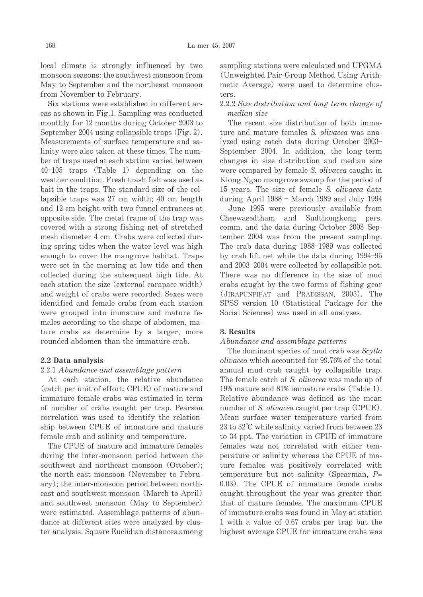local climate is strongly influenced by two monsoon seasons: the southwest monsoon from May to September and the northeast monsoon from November to February.

Six stations were established in different areas as shown in Fig.1. Sampling was conducted monthly for 12 months during October 2003 to September 2004 using collapsible traps (Fig. 2). Measurements of surface temperature and salinity were also taken at these times. The number of traps used at each station varied between  $40-105$  traps (Table 1) depending on the weather condition. Fresh trash fish was used as bait in the traps. The standard size of the collapsible traps was 27 cm width; 40 cm length and 12 cm height with two funnel entrances at opposite side. The metal frame of the trap was covered with a strong fishing net of stretched mesh diameter 4 cm. Crabs were collected during spring tides when the water level was high enough to cover the mangrove habitat. Traps were set in the morning at low tide and then collected during the subsequent high tide. At each station the size (external carapace width) and weight of crabs were recorded. Sexes were identified and female crabs from each station were grouped into immature and mature females according to the shape of abdomen, mature crabs as determine by a larger, more rounded abdomen than the immature crab.

## 2.2 Data analysis

#### 2.2.1 Abundance and assemblage pattern

At each station, the relative abundance (catch per unit of effort; CPUE) of mature and immature female crabs was estimated in term of number of crabs caught per trap. Pearson correlation was used to identify the relationship between CPUE of immature and mature female crab and salinity and temperature.

The CPUE of mature and immature females during the inter-monsoon period between the southwest and northeast monsoon (October); the north east monsoon (November to February); the inter-monsoon period between northeast and southwest monsoon (March to April) and southwest monsoon (May to September) were estimated. Assemblage patterns of abundance at different sites were analyzed by cluster analysis. Square Euclidian distances among sampling stations were calculated and UPGMA (Unweighted Pair-Group Method Using Arithmetic Average) were used to determine clusters.

# 2.2.2 Size distribution and long term change of median size

The recent size distribution of both immature and mature females S. olivacea was analyzed using catch data during October 2003-September 2004. In addition, the long-term changes in size distribution and median size were compared by female S. *olivacea* caught in Klong Ngao mangrove swamp for the period of 15 years. The size of female S. olivacea data during April  $1988 - \text{March } 1989$  and July  $1994$ - June 1995 were previously available from Cheewasedtham and Sudthongkong pers. comm. and the data during October 2003-September 2004 was from the present sampling. The crab data during 1988–1989 was collected by crab lift net while the data during 1994-95 and 2003-2004 were collected by collapsible pot. There was no difference in the size of mud crabs caught by the two forms of fishing gear (JIRAPUNPIPAT and PRADISSAN, 2005). The SPSS version 10 (Statistical Package for the Social Sciences) was used in all analyses.

#### 3. Results

#### Abundance and assemblage patterns

The dominant species of mud crab was Scylla olivacea which accounted for 99.76% of the total annual mud crab caught by collapsible trap. The female catch of S. *olivacea* was made up of 19% mature and 81% immature crabs (Table 1). Relative abundance was defined as the mean number of S. *olivacea* caught per trap (CPUE). Mean surface water temperature varied from  $23$  to  $32^{\circ}$ C while salinity varied from between  $23$ to 34 ppt. The variation in CPUE of immature females was not correlated with either temperature or salinity whereas the CPUE of mature females was positively correlated with temperature but not salinity (Spearman,  $P=$ 0.03). The CPUE of immature female crabs caught throughout the year was greater than that of mature females. The maximum CPUE of immature crabs was found in May at station 1 with a value of 0.67 crabs per trap but the highest average CPUE for immature crabs was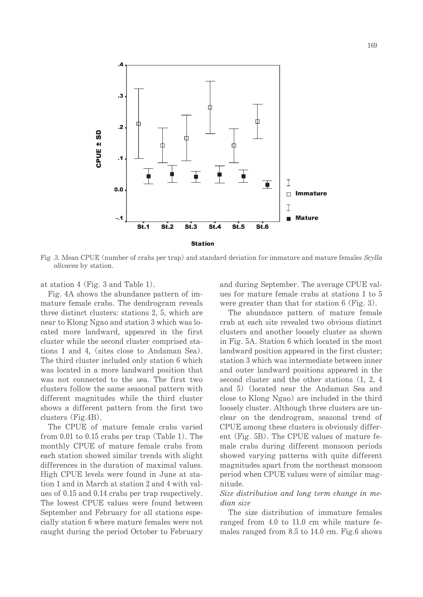

Fig. 3. Mean CPUE (number of crabs per trap) and standard deviation for immature and mature females Scylla *olivacea* by station.

at station 4 (Fig. 3 and Table 1).

Fig. 4A shows the abundance pattern of immature female crabs. The dendrogram reveals three distinct clusters: stations 2, 5, which are near to Klong Ngao and station 3 which was located more landward, appeared in the first cluster while the second cluster comprised stations 1 and 4, (sites close to Andaman Sea). The third cluster included only station 6 which was located in a more landward position that was not connected to the sea. The first two clusters follow the same seasonal pattern with different magnitudes while the third cluster shows a different pattern from the first two clusters  $(Fig.4B)$ .

The CPUE of mature female crabs varied from  $0.01$  to  $0.15$  crabs per trap (Table 1). The monthly CPUE of mature female crabs from each station showed similar trends with slight differences in the duration of maximal values. High CPUE levels were found in June at station 1 and in March at station 2 and 4 with values of 0.15 and 0.14 crabs per trap respectively. The lowest CPUE values were found between September and February for all stations especially station 6 where mature females were not caught during the period October to February and during September. The average CPUE values for mature female crabs at stations 1 to 5 were greater than that for station  $6$  (Fig. 3).

The abundance pattern of mature female crab at each site revealed two obvious distinct clusters and another loosely cluster as shown in Fig. 5A. Station 6 which located in the most landward position appeared in the first cluster; station 3 which was intermediate between inner and outer landward positions appeared in the second cluster and the other stations (1, 2, 4) and 5) (located near the Andaman Sea and close to Klong Ngao) are included in the third loosely cluster. Although three clusters are unclear on the dendrogram, seasonal trend of CPUE among these clusters is obviously different (Fig. 5B). The CPUE values of mature female crabs during different monsoon periods showed varying patterns with quite different magnitudes apart from the northeast monsoon period when CPUE values were of similar magnitude.

# Size distribution and long term change in me $dian\, size$

The size distribution of immature females ranged from 4.0 to 11.0 cm while mature females ranged from 8.5 to 14.0 cm. Fig.6 shows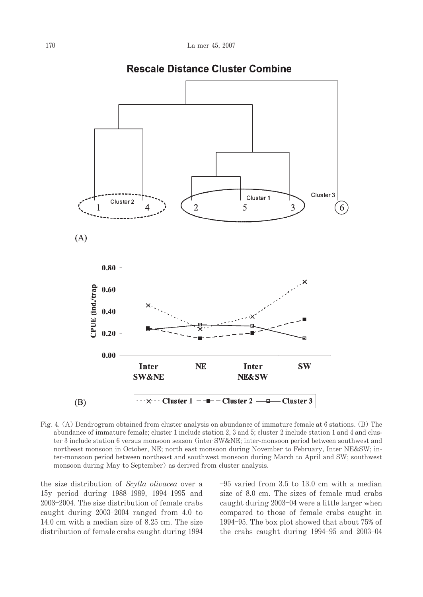

**Rescale Distance Cluster Combine** 

Fig. 4. (A) Dendrogram obtained from cluster analysis on abundance of immature female at 6 stations. (B) The abundance of immature female; cluster 1 include station 2, 3 and 5; cluster 2 include station 1 and 4 and cluster 3 include station 6 versus monsoon season (inter SW≠ inter-monsoon period between southwest and northeast monsoon in October, NE; north east monsoon during November to February, Inter NE&SW; inter-monsoon period between northeast and southwest monsoon during March to April and SW; southwest monsoon during May to September) as derived from cluster analysis.

the size distribution of Scylla olivacea over a 15y period during 1988-1989, 1994-1995 and 2003-2004. The size distribution of female crabs caught during  $2003-2004$  ranged from 4.0 to 14.0 cm with a median size of 8.25 cm. The size distribution of female crabs caught during 1994  $-95$  varied from 3.5 to 13.0 cm with a median size of 8.0 cm. The sizes of female mud crabs caught during 2003–04 were a little larger when compared to those of female crabs caught in 1994-95. The box plot showed that about 75% of the crabs caught during  $1994-95$  and  $2003-04$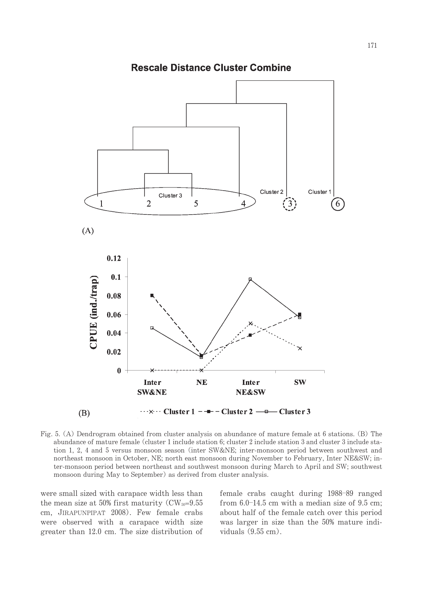

**Rescale Distance Cluster Combine** 

Fig. 5. (A) Dendrogram obtained from cluster analysis on abundance of mature female at 6 stations. (B) The abundance of mature female (cluster 1 include station 6; cluster 2 include station 3 and cluster 3 include station 1, 2, 4 and 5 versus monsoon season (inter SW≠ inter-monsoon period between southwest and northeast monsoon in October, NE; north east monsoon during November to February, Inter NE&SW; inter-monsoon period between northeast and southwest monsoon during March to April and SW; southwest monsoon during May to September) as derived from cluster analysis.

were small sized with carapace width less than the mean size at 50% first maturity ( $CW_{50}=9.55$ ) cm, JIRAPUNPIPAT 2008). Few female crabs were observed with a carapace width size greater than 12.0 cm. The size distribution of female crabs caught during 1988-89 ranged from  $6.0-14.5$  cm with a median size of  $9.5$  cm; about half of the female catch over this period was larger in size than the 50% mature individuals  $(9.55 \text{ cm})$ .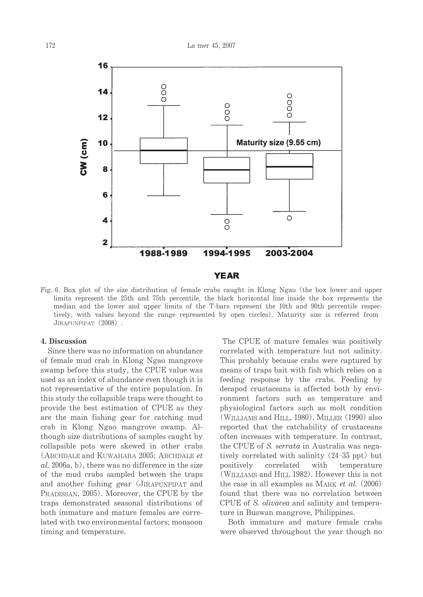

Fig. 6. Box plot of the size distribution of female crabs caught in Klong Ngao (the box lower and upper limits represent the 25th and 75th percentile, the black horizontal line inside the box represents the median and the lower and upper limits of the T-bars represent the 10th and 90th percentile respectively, with values beyond the range represented by open circles). Maturity size is referred from JIRAPUNPIPAT (2008).

# 4. Discussion

Since there was no information on abundance of female mud crab in Klong Ngao mangrove swamp before this study, the CPUE value was used as an index of abundance even though it is not representative of the entire population. In this study the collapsible traps were thought to provide the best estimation of CPUE as they are the main fishing gear for catching mud crab in Klong Ngao mangrove swamp. Although size distributions of samples caught by collapsible pots were skewed in other crabs (ARCHDALE and KUWAHARA 2005: ARCHDALE et al. 2006a, b), there was no difference in the size of the mud crabs sampled between the traps and another fishing gear (JIRAPUNPIPAT and PRADISSAN, 2005). Moreover, the CPUE by the traps demonstrated seasonal distributions of both immature and mature females are correlated with two environmental factors; monsoon timing and temperature.

The CPUE of mature females was positively correlated with temperature but not salinity. This probably because crabs were captured by means of traps bait with fish which relies on a feeding response by the crabs. Feeding by decapod crustaceans is affected both by environment factors such as temperature and physiological factors such as molt condition (WILLIAMS and HILL, 1980). MILLER (1990) also reported that the catchability of crustaceans often increases with temperature. In contrast, the CPUE of S. serrata in Australia was negatively correlated with salinity (24–35 ppt) but positively correlated with temperature (WILLIAMS and HILL 1982). However this is not the case in all examples as MARK *et al.*  $(2006)$ found that there was no correlation between CPUE of S. *olivacea* and salinity and temperature in Buswan mangrove, Philippines.

Both immature and mature female crabs were observed throughout the year though no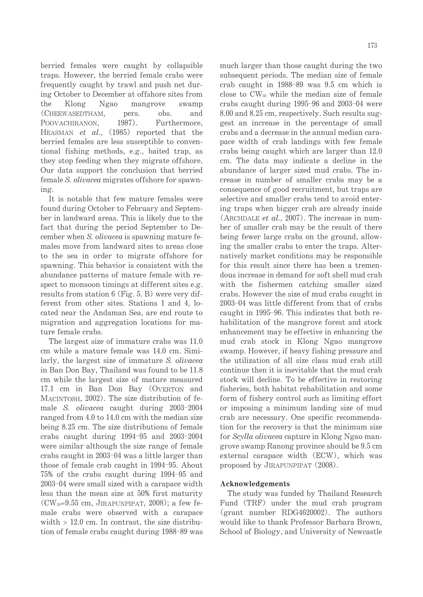berried females were caught by collapsible traps. However, the berried female crabs were frequently caught by trawl and push net during October to December at offshore sites from the Klong Ngao mangrove swamp (CHEEWASEDTHAM. pers. obs. and  $1987$ . POOVACHIRANON. Furthermore. HEASMAN et al., (1985) reported that the berried females are less susceptible to conventional fishing methods, e.g., baited trap, as they stop feeding when they migrate offshore. Our data support the conclusion that berried female S. *olivacea* migrates offshore for spawning.

It is notable that few mature females were found during October to February and September in landward areas. This is likely due to the fact that during the period September to December when S. olivacea is spawning mature females move from landward sites to areas close to the sea in order to migrate offshore for spawning. This behavior is consistent with the abundance patterns of mature female with respect to monsoon timings at different sites e.g. results from station  $6$  (Fig. 5. B) were very different from other sites. Stations 1 and 4, located near the Andaman Sea, are end route to migration and aggregation locations for mature female crabs.

The largest size of immature crabs was 11.0 cm while a mature female was 14.0 cm. Similarly, the largest size of immature S. *olivacea* in Ban Don Bay, Thailand was found to be 11.8 cm while the largest size of mature measured 17.1 cm in Ban Don Bay (OVERTON and MACINTOSH, 2002). The size distribution of female *S. olivacea* caught during 2003-2004 ranged from 4.0 to 14.0 cm with the median size being 8.25 cm. The size distributions of female crabs caught during  $1994-95$  and  $2003-2004$ were similar although the size range of female crabs caught in 2003–04 was a little larger than those of female crab caught in 1994–95. About 75% of the crabs caught during 1994-95 and 2003-04 were small sized with a carapace width less than the mean size at 50% first maturity  $(CW_{50}=9.55$  cm, JIRAPUNPIPAT, 2008); a few female crabs were observed with a carapace width  $> 12.0$  cm. In contrast, the size distribution of female crabs caught during 1988–89 was much larger than those caught during the two subsequent periods. The median size of female crab caught in 1988-89 was 9.5 cm which is close to  $CW_{50}$  while the median size of female crabs caught during 1995-96 and 2003-04 were 8.00 and 8.25 cm, respectively. Such results suggest an increase in the percentage of small crabs and a decrease in the annual median carapace width of crab landings with few female crabs being caught which are larger than 12.0 cm. The data may indicate a decline in the abundance of larger sized mud crabs. The increase in number of smaller crabs may be a

consequence of good recruitment, but traps are selective and smaller crabs tend to avoid entering traps when bigger crab are already inside (ARCHDALE et al., 2007). The increase in number of smaller crab may be the result of there being fewer large crabs on the ground, allowing the smaller crabs to enter the traps. Alternatively market conditions may be responsible. for this result since there has been a tremendous increase in demand for soft shell mud crab with the fishermen catching smaller sized crabs. However the size of mud crabs caught in 2003-04 was little different from that of crabs caught in 1995–96. This indicates that both rehabilitation of the mangrove forest and stock enhancement may be effective in enhancing the mud crab stock in Klong Ngao mangrove swamp. However, if heavy fishing pressure and the utilization of all size class mud crab still continue then it is inevitable that the mud crab stock will decline. To be effective in restoring fisheries, both habitat rehabilitation and some form of fishery control such as limiting effort or imposing a minimum landing size of mud crab are necessary. One specific recommendation for the recovery is that the minimum size for Scylla olivacea capture in Klong Ngao mangrove swamp Ranong province should be 9.5 cm external carapace width (ECW), which was proposed by JIRAPUNPIPAT (2008).

## Acknowledgements

The study was funded by Thailand Research Fund (TRF) under the mud crab program (grant number RDG4620002). The authors would like to thank Professor Barbara Brown, School of Biology, and University of Newcastle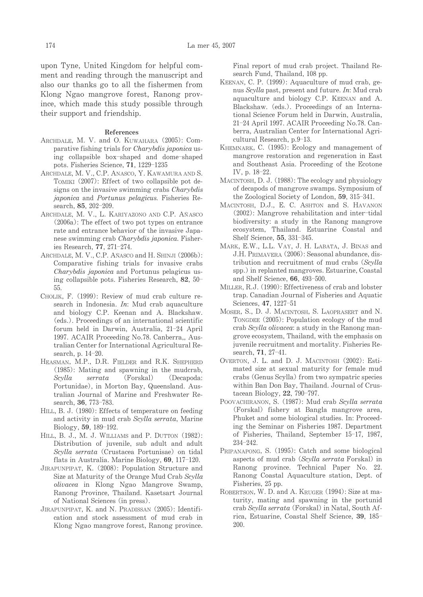upon Tyne. United Kingdom for helpful comment and reading through the manuscript and also our thanks go to all the fishermen from Klong Ngao mangrove forest, Ranong province, which made this study possible through their support and friendship.

#### **References**

- ARCHDALE, M. V. and O. KUWAHARA (2005): Comparative fishing trials for *Charybdis japonica* using collapsible box-shaped and dome-shaped pots. Fisheries Science, 71, 1229-1235
- ARCHDALE, M. V., C.P. ANASCO, Y. KAWAMURA AND S. TOMIKI (2007): Effect of two collapsible pot designs on the invasive swimming crabs Charybdis japonica and Portunus pelagicus. Fisheries Research, 85, 202-209.
- ARCHDALE, M. V., L. KARIYAZONO AND C.P. AÑASCO  $(2006a)$ : The effect of two pot types on entrance rate and entrance behavior of the invasive Japanese swimming crab Charybdis japonica. Fisheries Research, 77, 271-274.
- ARCHDALE, M. V., C.P. AÑASCO and H. SHINJI (2006b): Comparative fishing trials for invasive crabs *Charybdis japonica* and Portunus pelagicus using collapsible pots. Fisheries Research, 82, 50-55.
- CHOLIK, F. (1999): Review of mud crab culture research in Indonesia.  $In:$  Mud crab aquaculture and biology C.P. Keenan and A. Blackshaw. (eds.). Proceedings of an international scientific forum held in Darwin, Australia, 21-24 April 1997. ACAIR Proceeding No.78. Canberra,, Australian Center for International Agricultural Research, p. 14-20.
- HEASMAN, M.P., D.R. FIELDER and R.K. SHEPHERD  $(1985)$ : Mating and spawning in the muderab, Scylla  $serrata$ (Forskal) (Decapoda: Portunidae), in Morton Bay, Queensland. Australian Journal of Marine and Freshwater Research, 36, 773-783.
- HILL, B. J. (1980): Effects of temperature on feeding and activity in mud crab Scylla serrata, Marine Biology, 59, 189-192.
- HILL, B. J., M. J. WILLIAMS and P. DUTTON (1982): Distribution of juvenile, sub adult and adult Scylla serrata (Crustacea Portunisae) on tidal flats in Australia. Marine Biology, 69, 117-120.
- JIRAPUNPIPAT, K. (2008): Population Structure and Size at Maturity of the Orange Mud Crab Scylla olivacea in Klong Ngao Mangrove Swamp, Ranong Province, Thailand. Kasetsart Journal of National Sciences (in press).
- JIRAPUNPIPAT, K. and N. PRADISSAN (2005): Identification and stock assessment of mud crab in Klong Ngao mangrove forest, Ranong province.

Final report of mud crab project. Thailand Research Fund, Thailand, 108 pp.

- KEENAN, C. P. (1999): Aquaculture of mud crab, genus Scylla past, present and future. In: Mud crab aquaculture and biology C.P. KEENAN and A. Blackshaw. (eds.). Proceedings of an International Science Forum held in Darwin, Australia, 21-24 April 1997. ACAIR Proceeding No.78. Canberra, Australian Center for International Agricultural Research, p.9-13.
- KHEMNARK, C. (1995): Ecology and management of mangrove restoration and regeneration in East and Southeast Asia. Proceeding of the Ecotone IV, p. 18-22.
- MACINTOSH, D. J. (1988): The ecology and physiology of decapods of mangrove swamps. Symposium of the Zoological Society of London, 59, 315-341.
- MACINTOSH, D.J., E. C. ASHTON and S. HAVANON (2002): Mangrove rehabilitation and inter-tidal biodiversity: a study in the Ranong mangrove ecosystem, Thailand. Estuarine Coastal and Shelf Science, 55, 331-345.
- MARK, E.W., L.L. VAY, J. H. LABATA, J. BINAS and J.H. PRIMAVERA (2006): Seasonal abundance, distribution and recruitment of mud crabs (Scylla spp.) in replanted mangroves. Estuarine, Coastal and Shelf Science, 66, 493-500.
- MILLER, R.J. (1990): Effectiveness of crab and lobster trap. Canadian Journal of Fisheries and Aquatic Sciences, 47, 1227-51
- MOSER, S., D. J. MACINTOSH, S. LAOPRASERT and N. TONGDEE (2005): Population ecology of the mud crab Scylla olivacea: a study in the Ranong mangrove ecosystem, Thailand, with the emphasis on juvenile recruitment and mortality. Fisheries Research, 71, 27-41.
- OVERTON, J. L. and D. J. MACINTOSH (2002): Estimated size at sexual maturity for female mud crabs (Genus Scylla) from two sympatric species within Ban Don Bay, Thailand. Journal of Crustacean Biology, 22, 790-797.
- POOVACHIRANON, S. (1987): Mud crab Scylla serrata (Forskal) fishery at Bangla mangrove area, Phuket and some biological studies. In: Proceeding the Seminar on Fisheries 1987. Department of Fisheries, Thailand, September 15-17, 1987,  $234 - 242.$
- PRIPANAPONG, S. (1995): Catch and some biological aspects of mud crab (Scylla serrata Forskal) in Ranong province. Technical Paper No. 22. Ranong Coastal Aquaculture station, Dept. of Fisheries, 25 pp.
- ROBERTSON, W. D. and A. KRUGER (1994): Size at maturity, mating and spawning in the portunid crab Scylla serrata (Forskal) in Natal, South Africa, Estuarine, Coastal Shelf Science, 39, 185-200.